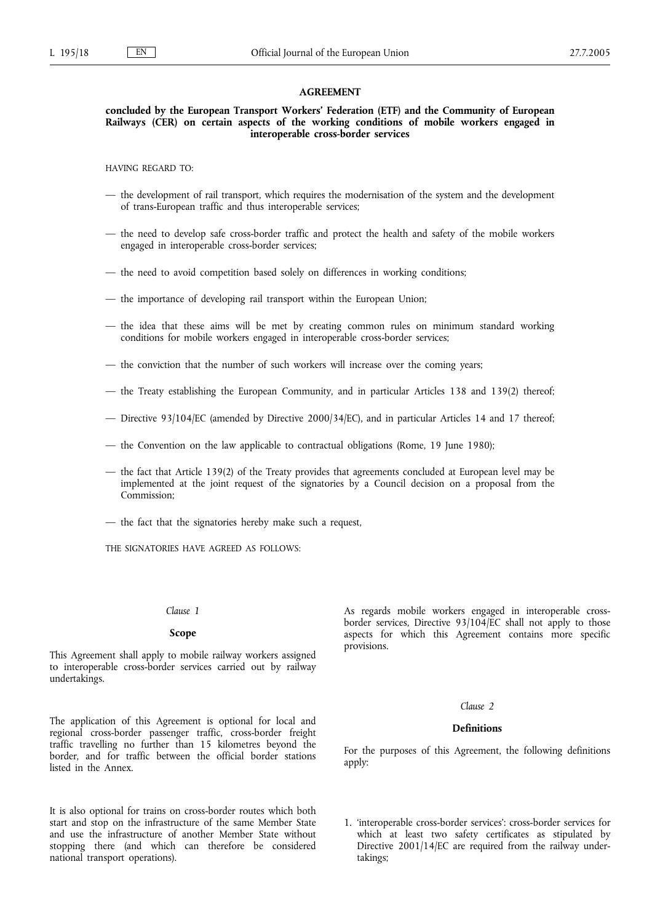#### **AGREEMENT**

**concluded by the European Transport Workers' Federation (ETF) and the Community of European Railways (CER) on certain aspects of the working conditions of mobile workers engaged in interoperable cross-border services**

HAVING REGARD TO:

- the development of rail transport, which requires the modernisation of the system and the development of trans-European traffic and thus interoperable services;
- the need to develop safe cross-border traffic and protect the health and safety of the mobile workers engaged in interoperable cross-border services;
- the need to avoid competition based solely on differences in working conditions;
- the importance of developing rail transport within the European Union;
- the idea that these aims will be met by creating common rules on minimum standard working conditions for mobile workers engaged in interoperable cross-border services;
- the conviction that the number of such workers will increase over the coming years;
- the Treaty establishing the European Community, and in particular Articles 138 and 139(2) thereof;
- Directive 93/104/EC (amended by Directive 2000/34/EC), and in particular Articles 14 and 17 thereof;
- the Convention on the law applicable to contractual obligations (Rome, 19 June 1980);
- the fact that Article 139(2) of the Treaty provides that agreements concluded at European level may be implemented at the joint request of the signatories by a Council decision on a proposal from the Commission;
- the fact that the signatories hereby make such a request,

THE SIGNATORIES HAVE AGREED AS FOLLOWS:

#### *Clause 1*

#### **Scope**

This Agreement shall apply to mobile railway workers assigned to interoperable cross-border services carried out by railway undertakings.

The application of this Agreement is optional for local and regional cross-border passenger traffic, cross-border freight traffic travelling no further than 15 kilometres beyond the border, and for traffic between the official border stations listed in the Annex.

It is also optional for trains on cross-border routes which both start and stop on the infrastructure of the same Member State and use the infrastructure of another Member State without stopping there (and which can therefore be considered national transport operations).

As regards mobile workers engaged in interoperable crossborder services, Directive 93/104/EC shall not apply to those aspects for which this Agreement contains more specific provisions.

## *Clause 2*

## **Definitions**

For the purposes of this Agreement, the following definitions apply:

1. 'interoperable cross-border services': cross-border services for which at least two safety certificates as stipulated by Directive 2001/14/EC are required from the railway undertakings;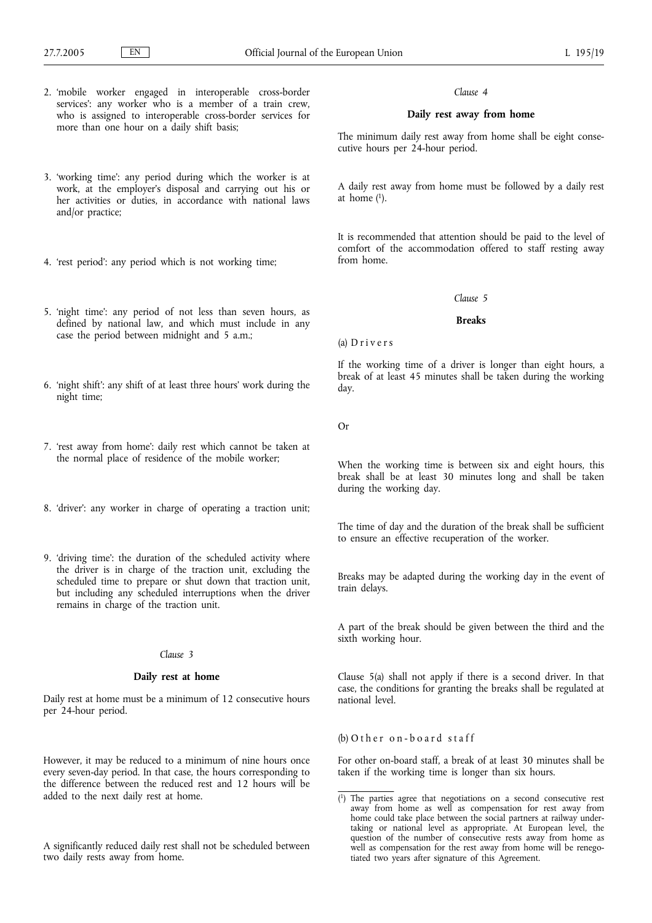- 2. 'mobile worker engaged in interoperable cross-border services': any worker who is a member of a train crew, who is assigned to interoperable cross-border services for more than one hour on a daily shift basis;
- 3. 'working time': any period during which the worker is at work, at the employer's disposal and carrying out his or her activities or duties, in accordance with national laws and/or practice;
- 4. 'rest period': any period which is not working time;
- 5. 'night time': any period of not less than seven hours, as defined by national law, and which must include in any case the period between midnight and 5 a.m.;
- 6. 'night shift': any shift of at least three hours' work during the night time;
- 7. 'rest away from home': daily rest which cannot be taken at the normal place of residence of the mobile worker;
- 8. 'driver': any worker in charge of operating a traction unit;
- 9. 'driving time': the duration of the scheduled activity where the driver is in charge of the traction unit, excluding the scheduled time to prepare or shut down that traction unit, but including any scheduled interruptions when the driver remains in charge of the traction unit.

#### *Clause 3*

## **Daily rest at home**

Daily rest at home must be a minimum of 12 consecutive hours per 24-hour period.

However, it may be reduced to a minimum of nine hours once every seven-day period. In that case, the hours corresponding to the difference between the reduced rest and 12 hours will be added to the next daily rest at home.

A significantly reduced daily rest shall not be scheduled between two daily rests away from home.

### *Clause 4*

# **Daily rest away from home**

The minimum daily rest away from home shall be eight consecutive hours per 24-hour period.

A daily rest away from home must be followed by a daily rest at home  $(1)$ .

It is recommended that attention should be paid to the level of comfort of the accommodation offered to staff resting away from home.

## *Clause 5*

## **Breaks**

(a) D r i v e r s

If the working time of a driver is longer than eight hours, a break of at least 45 minutes shall be taken during the working day.

Or

When the working time is between six and eight hours, this break shall be at least 30 minutes long and shall be taken during the working day.

The time of day and the duration of the break shall be sufficient to ensure an effective recuperation of the worker.

Breaks may be adapted during the working day in the event of train delays.

A part of the break should be given between the third and the sixth working hour.

Clause 5(a) shall not apply if there is a second driver. In that case, the conditions for granting the breaks shall be regulated at national level.

# $(b)$  O ther on-board staff

For other on-board staff, a break of at least 30 minutes shall be taken if the working time is longer than six hours.

<sup>(</sup> 1) The parties agree that negotiations on a second consecutive rest away from home as well as compensation for rest away from home could take place between the social partners at railway undertaking or national level as appropriate. At European level, the question of the number of consecutive rests away from home as well as compensation for the rest away from home will be renegotiated two years after signature of this Agreement.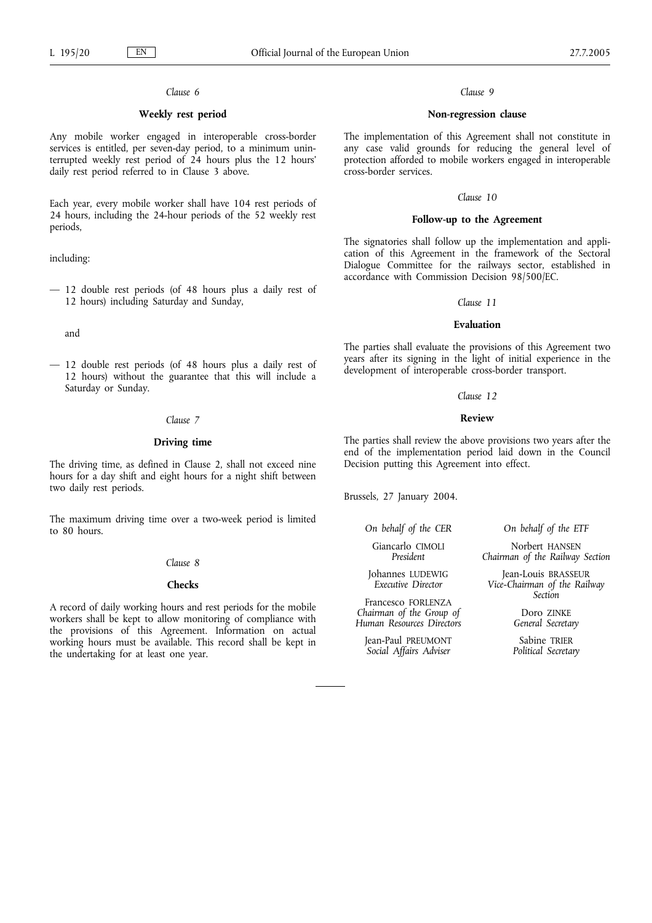## *Clause 6*

# **Weekly rest period**

Any mobile worker engaged in interoperable cross-border services is entitled, per seven-day period, to a minimum uninterrupted weekly rest period of 24 hours plus the 12 hours' daily rest period referred to in Clause 3 above.

Each year, every mobile worker shall have 104 rest periods of 24 hours, including the 24-hour periods of the 52 weekly rest periods,

including:

— 12 double rest periods (of 48 hours plus a daily rest of 12 hours) including Saturday and Sunday,

and

— 12 double rest periods (of 48 hours plus a daily rest of 12 hours) without the guarantee that this will include a Saturday or Sunday.

# *Clause 7*

## **Driving time**

The driving time, as defined in Clause 2, shall not exceed nine hours for a day shift and eight hours for a night shift between two daily rest periods.

The maximum driving time over a two-week period is limited to 80 hours.

### *Clause 8*

# **Checks**

A record of daily working hours and rest periods for the mobile workers shall be kept to allow monitoring of compliance with the provisions of this Agreement. Information on actual working hours must be available. This record shall be kept in the undertaking for at least one year.

## *Clause 9*

# **Non-regression clause**

The implementation of this Agreement shall not constitute in any case valid grounds for reducing the general level of protection afforded to mobile workers engaged in interoperable cross-border services.

## *Clause 10*

## **Follow-up to the Agreement**

The signatories shall follow up the implementation and application of this Agreement in the framework of the Sectoral Dialogue Committee for the railways sector, established in accordance with Commission Decision 98/500/EC.

### *Clause 11*

### **Evaluation**

The parties shall evaluate the provisions of this Agreement two years after its signing in the light of initial experience in the development of interoperable cross-border transport.

#### *Clause 12*

# **Review**

The parties shall review the above provisions two years after the end of the implementation period laid down in the Council Decision putting this Agreement into effect.

Brussels, 27 January 2004.

*On behalf of the CER*

Giancarlo CIMOLI *President*

Johannes LUDEWIG *Executive Director*

Francesco FORLENZA *Chairman of the Group of Human Resources Directors*

Jean-Paul PREUMONT *Social Affairs Adviser*

*On behalf of the ETF*

Norbert HANSEN *Chairman of the Railway Section*

Jean-Louis BRASSEUR *Vice-Chairman of the Railway Section*

> Doro ZINKE *General Secretary*

Sabine TRIER *Political Secretary*